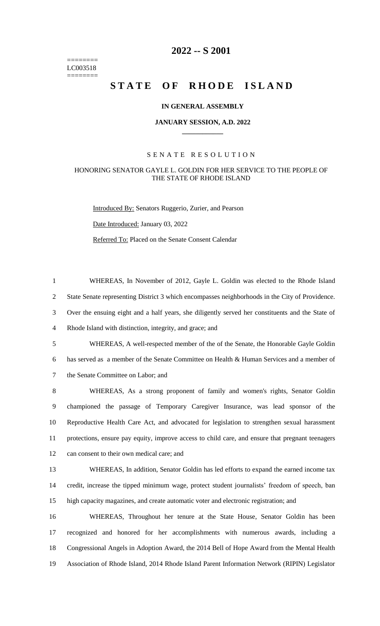======== LC003518 ========

# **-- S 2001**

# **STATE OF RHODE ISLAND**

### **IN GENERAL ASSEMBLY**

#### **JANUARY SESSION, A.D. 2022 \_\_\_\_\_\_\_\_\_\_\_\_**

#### S E N A T E R E S O L U T I O N

## HONORING SENATOR GAYLE L. GOLDIN FOR HER SERVICE TO THE PEOPLE OF THE STATE OF RHODE ISLAND

WHEREAS, In November of 2012, Gayle L. Goldin was elected to the Rhode Island

Introduced By: Senators Ruggerio, Zurier, and Pearson Date Introduced: January 03, 2022 Referred To: Placed on the Senate Consent Calendar

 State Senate representing District 3 which encompasses neighborhoods in the City of Providence. Over the ensuing eight and a half years, she diligently served her constituents and the State of Rhode Island with distinction, integrity, and grace; and WHEREAS, A well-respected member of the of the Senate, the Honorable Gayle Goldin has served as a member of the Senate Committee on Health & Human Services and a member of the Senate Committee on Labor; and WHEREAS, As a strong proponent of family and women's rights, Senator Goldin championed the passage of Temporary Caregiver Insurance, was lead sponsor of the Reproductive Health Care Act, and advocated for legislation to strengthen sexual harassment protections, ensure pay equity, improve access to child care, and ensure that pregnant teenagers can consent to their own medical care; and WHEREAS, In addition, Senator Goldin has led efforts to expand the earned income tax credit, increase the tipped minimum wage, protect student journalists' freedom of speech, ban high capacity magazines, and create automatic voter and electronic registration; and WHEREAS, Throughout her tenure at the State House, Senator Goldin has been recognized and honored for her accomplishments with numerous awards, including a Congressional Angels in Adoption Award, the 2014 Bell of Hope Award from the Mental Health Association of Rhode Island, 2014 Rhode Island Parent Information Network (RIPIN) Legislator